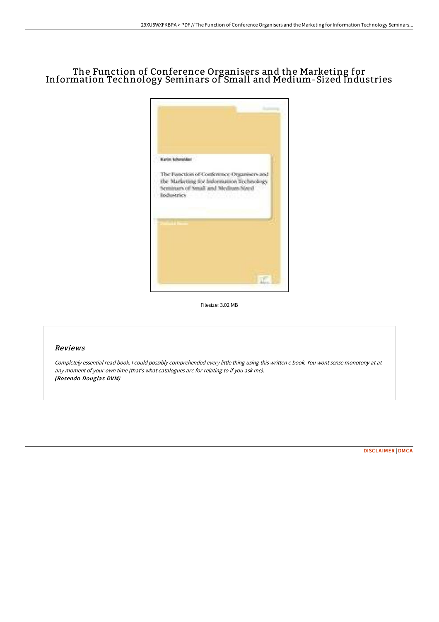# The Function of Conference Organisers and the Marketing for Information Technology Seminars of Small and Medium-Sized Industries



Filesize: 3.02 MB

## Reviews

Completely essential read book. I could possibly comprehended every little thing using this written <sup>e</sup> book. You wont sense monotony at at any moment of your own time (that's what catalogues are for relating to if you ask me). (Rosendo Douglas DVM)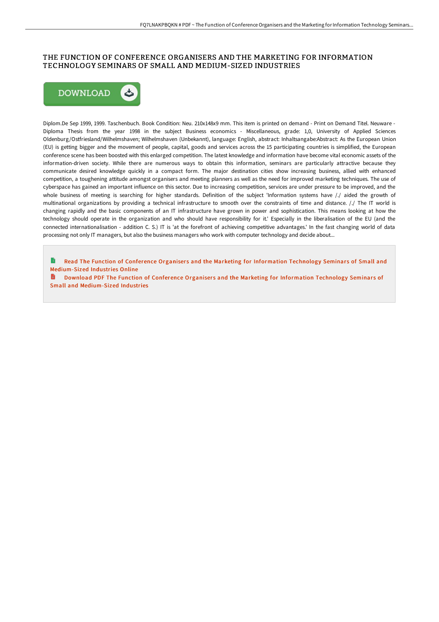## THE FUNCTION OF CONFERENCE ORGANISERS AND THE MARKETING FOR INFORMATION TECHNOLOGY SEMINARS OF SMALL AND MEDIUM-SIZED INDUSTRIES



Diplom.De Sep 1999, 1999. Taschenbuch. Book Condition: Neu. 210x148x9 mm. This item is printed on demand - Print on Demand Titel. Neuware - Diploma Thesis from the year 1998 in the subject Business economics - Miscellaneous, grade: 1,0, University of Applied Sciences Oldenburg/Ostfriesland/Wilhelmshaven; Wilhelmshaven (Unbekannt), language: English, abstract: Inhaltsangabe:Abstract: As the European Union (EU) is getting bigger and the movement of people, capital, goods and services across the 15 participating countries is simplified, the European conference scene has been boosted with this enlarged competition. The latest knowledge and information have become vital economic assets of the information-driven society. While there are numerous ways to obtain this information, seminars are particularly attractive because they communicate desired knowledge quickly in a compact form. The major destination cities show increasing business, allied with enhanced competition, a toughening attitude amongst organisers and meeting planners as well as the need for improved marketing techniques. The use of cyberspace has gained an important influence on this sector. Due to increasing competition, services are under pressure to be improved, and the whole business of meeting is searching for higher standards. Definition of the subject 'Information systems have /./ aided the growth of multinational organizations by providing a technical infrastructure to smooth over the constraints of time and distance. /./ The IT world is changing rapidly and the basic components of an IT infrastructure have grown in power and sophistication. This means looking at how the technology should operate in the organization and who should have responsibility for it.' Especially in the liberalisation of the EU (and the connected internationalisation - addition C. S.) IT is 'at the forefront of achieving competitive advantages.' In the fast changing world of data processing not only IT managers, but also the business managers who work with computer technology and decide about...

Read The Function of Conference Organisers and the Marketing for Information Technology Seminars of Small and [Medium-Sized](http://techno-pub.tech/the-function-of-conference-organisers-and-the-ma.html) Industries Online

Download PDF The Function of Conference Organisers and the Marketing for Information Technology Seminars of Small and [Medium-Sized](http://techno-pub.tech/the-function-of-conference-organisers-and-the-ma.html) Industries